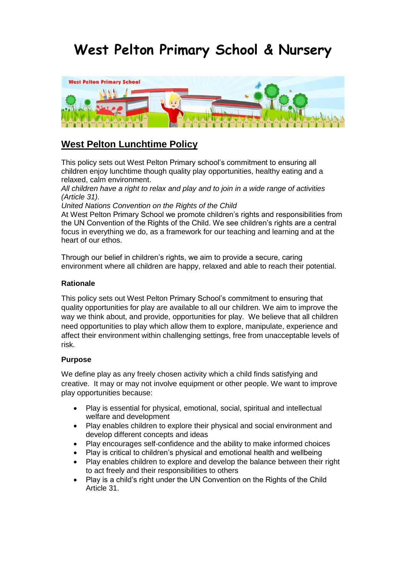# **West Pelton Primary School & Nursery**



# **West Pelton Lunchtime Policy**

This policy sets out West Pelton Primary school's commitment to ensuring all children enjoy lunchtime though quality play opportunities, healthy eating and a relaxed, calm environment.

*All children have a right to relax and play and to join in a wide range of activities (Article 31).* 

*United Nations Convention on the Rights of the Child* 

At West Pelton Primary School we promote children's rights and responsibilities from the UN Convention of the Rights of the Child. We see children's rights are a central focus in everything we do, as a framework for our teaching and learning and at the heart of our ethos.

Through our belief in children's rights, we aim to provide a secure, caring environment where all children are happy, relaxed and able to reach their potential.

#### **Rationale**

This policy sets out West Pelton Primary School's commitment to ensuring that quality opportunities for play are available to all our children. We aim to improve the way we think about, and provide, opportunities for play. We believe that all children need opportunities to play which allow them to explore, manipulate, experience and affect their environment within challenging settings, free from unacceptable levels of risk.

#### **Purpose**

We define play as any freely chosen activity which a child finds satisfying and creative. It may or may not involve equipment or other people. We want to improve play opportunities because:

- Play is essential for physical, emotional, social, spiritual and intellectual welfare and development
- Play enables children to explore their physical and social environment and develop different concepts and ideas
- Play encourages self-confidence and the ability to make informed choices
- Play is critical to children's physical and emotional health and wellbeing
- Play enables children to explore and develop the balance between their right to act freely and their responsibilities to others
- Play is a child's right under the UN Convention on the Rights of the Child Article 31.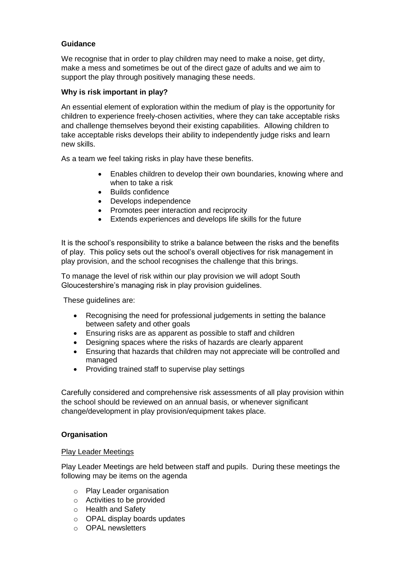# **Guidance**

We recognise that in order to play children may need to make a noise, get dirty, make a mess and sometimes be out of the direct gaze of adults and we aim to support the play through positively managing these needs.

### **Why is risk important in play?**

An essential element of exploration within the medium of play is the opportunity for children to experience freely-chosen activities, where they can take acceptable risks and challenge themselves beyond their existing capabilities. Allowing children to take acceptable risks develops their ability to independently judge risks and learn new skills.

As a team we feel taking risks in play have these benefits.

- Enables children to develop their own boundaries, knowing where and when to take a risk
- Builds confidence
- Develops independence
- Promotes peer interaction and reciprocity
- Extends experiences and develops life skills for the future

It is the school's responsibility to strike a balance between the risks and the benefits of play. This policy sets out the school's overall objectives for risk management in play provision, and the school recognises the challenge that this brings.

To manage the level of risk within our play provision we will adopt South Gloucestershire's managing risk in play provision guidelines.

These guidelines are:

- Recognising the need for professional judgements in setting the balance between safety and other goals
- Ensuring risks are as apparent as possible to staff and children
- Designing spaces where the risks of hazards are clearly apparent
- Ensuring that hazards that children may not appreciate will be controlled and managed
- Providing trained staff to supervise play settings

Carefully considered and comprehensive risk assessments of all play provision within the school should be reviewed on an annual basis, or whenever significant change/development in play provision/equipment takes place.

#### **Organisation**

#### Play Leader Meetings

Play Leader Meetings are held between staff and pupils. During these meetings the following may be items on the agenda

- o Play Leader organisation
- o Activities to be provided
- o Health and Safety
- o OPAL display boards updates
- o OPAL newsletters